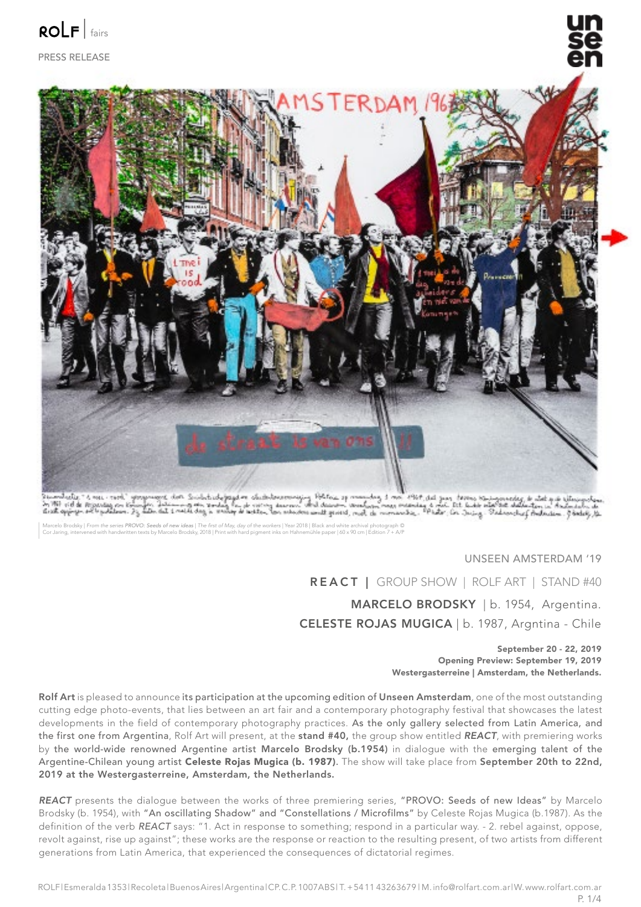

PRESS RELEASE



Tumbuly 16 ms. rook" gorganoos, don Subdudysgdor chabdourowiging 1967aa op mountag 3 ms. 1967 det gan toons kaimandeg is dot gan staying<br>In 1961 of de organisg an timen, International marketing de company word decommence a

Marcelo Brodsky | From the series PROVO: Seeds of new ideas | The first of May, day of the workers | Year 2018 | Black and white archival photograph ©<br>Cor Jaring, intervened with handwritten texts by Marcelo Brodsky, 2018

### UNSEEN AMSTERDAM '19

MARCELO BRODSKY | b. 1954, Argentina. CELESTE ROJAS MUGICA | b. 1987, Argntina - Chile REACT | GROUP SHOW | ROLF ART | STAND #40

#### September 20 - 22, 2019 Opening Preview: September 19, 2019 Westergasterreine | Amsterdam, the Netherlands.

Rolf Art is pleased to announce its participation at the upcoming edition of Unseen Amsterdam, one of the most outstanding cutting edge photo-events, that lies between an art fair and a contemporary photography festival that showcases the latest developments in the field of contemporary photography practices. As the only gallery selected from Latin America, and the first one from Argentina, Rolf Art will present, at the stand #40, the group show entitled *REACT*, with premiering works by the world-wide renowned Argentine artist Marcelo Brodsky (b.1954) in dialogue with the emerging talent of the Argentine-Chilean young artist Celeste Roias Mugica (b. 1987). The show will take place from September 20th to 22nd. 2019 at the Westergasterreine, Amsterdam, the Netherlands.

*REACT* presents the dialogue between the works of three premiering series, "PROVO: Seeds of new Ideas" by Marcelo Brodsky (b. 1954), with "An oscillating Shadow" and "Constellations / Microfilms" by Celeste Rojas Mugica (b.1987). As the definition of the verb *REACT* says: "1. Act in response to something; respond in a particular way. - 2. rebel against, oppose, revolt against, rise up against"; these works are the response or reaction to the resulting present, of two artists from different generations from Latin America, that experienced the consequences of dictatorial regimes.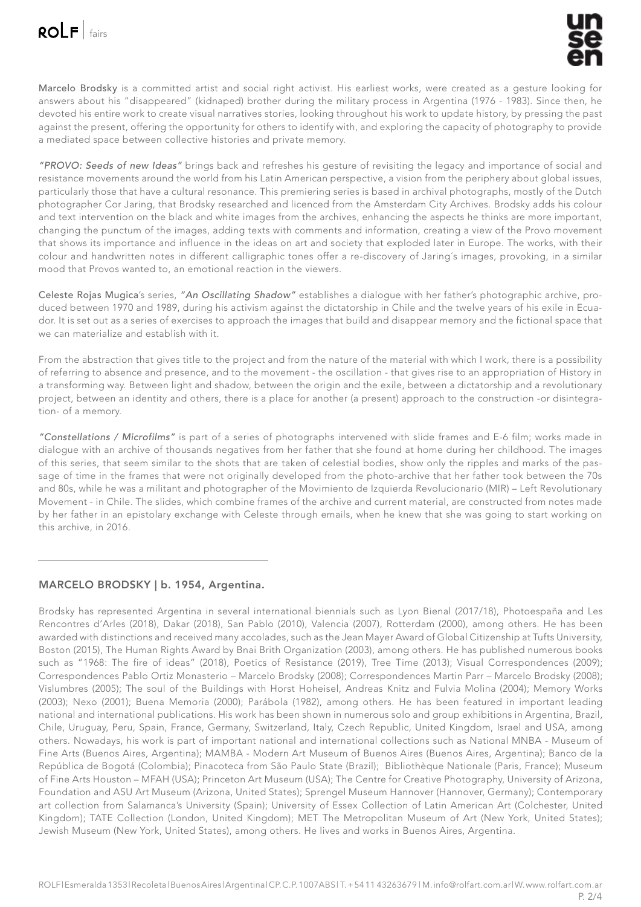Marcelo Brodsky is a committed artist and social right activist. His earliest works, were created as a gesture looking for answers about his "disappeared" (kidnaped) brother during the military process in Argentina (1976 - 1983). Since then, he devoted his entire work to create visual narratives stories, looking throughout his work to update history, by pressing the past against the present, offering the opportunity for others to identify with, and exploring the capacity of photography to provide a mediated space between collective histories and private memory.

*"PROVO: Seeds of new Ideas"* brings back and refreshes his gesture of revisiting the legacy and importance of social and resistance movements around the world from his Latin American perspective, a vision from the periphery about global issues, particularly those that have a cultural resonance. This premiering series is based in archival photographs, mostly of the Dutch photographer Cor Jaring, that Brodsky researched and licenced from the Amsterdam City Archives. Brodsky adds his colour and text intervention on the black and white images from the archives, enhancing the aspects he thinks are more important, changing the punctum of the images, adding texts with comments and information, creating a view of the Provo movement that shows its importance and influence in the ideas on art and society that exploded later in Europe. The works, with their colour and handwritten notes in different calligraphic tones offer a re-discovery of Jaring´s images, provoking, in a similar mood that Provos wanted to, an emotional reaction in the viewers.

Celeste Rojas Mugica's series, *"An Oscillating Shadow"* establishes a dialogue with her father's photographic archive, produced between 1970 and 1989, during his activism against the dictatorship in Chile and the twelve years of his exile in Ecuador. It is set out as a series of exercises to approach the images that build and disappear memory and the fictional space that we can materialize and establish with it.

From the abstraction that gives title to the project and from the nature of the material with which I work, there is a possibility of referring to absence and presence, and to the movement - the oscillation - that gives rise to an appropriation of History in a transforming way. Between light and shadow, between the origin and the exile, between a dictatorship and a revolutionary project, between an identity and others, there is a place for another (a present) approach to the construction -or disintegration- of a memory.

*"Constellations / Microfilms"* is part of a series of photographs intervened with slide frames and E-6 film; works made in dialogue with an archive of thousands negatives from her father that she found at home during her childhood. The images of this series, that seem similar to the shots that are taken of celestial bodies, show only the ripples and marks of the passage of time in the frames that were not originally developed from the photo-archive that her father took between the 70s and 80s, while he was a militant and photographer of the Movimiento de Izquierda Revolucionario (MIR) – Left Revolutionary Movement - in Chile. The slides, which combine frames of the archive and current material, are constructed from notes made by her father in an epistolary exchange with Celeste through emails, when he knew that she was going to start working on this archive, in 2016.

# MARCELO BRODSKY | b. 1954, Argentina.

Brodsky has represented Argentina in several international biennials such as Lyon Bienal (2017/18), Photoespaña and Les Rencontres d'Arles (2018), Dakar (2018), San Pablo (2010), Valencia (2007), Rotterdam (2000), among others. He has been awarded with distinctions and received many accolades, such as the Jean Mayer Award of Global Citizenship at Tufts University, Boston (2015), The Human Rights Award by Bnai Brith Organization (2003), among others. He has published numerous books such as "1968: The fire of ideas" (2018), Poetics of Resistance (2019), Tree Time (2013); Visual Correspondences (2009); Correspondences Pablo Ortiz Monasterio – Marcelo Brodsky (2008); Correspondences Martin Parr – Marcelo Brodsky (2008); Vislumbres (2005); The soul of the Buildings with Horst Hoheisel, Andreas Knitz and Fulvia Molina (2004); Memory Works (2003); Nexo (2001); Buena Memoria (2000); Parábola (1982), among others. He has been featured in important leading national and international publications. His work has been shown in numerous solo and group exhibitions in Argentina, Brazil, Chile, Uruguay, Peru, Spain, France, Germany, Switzerland, Italy, Czech Republic, United Kingdom, Israel and USA, among others. Nowadays, his work is part of important national and international collections such as National MNBA - Museum of Fine Arts (Buenos Aires, Argentina); MAMBA - Modern Art Museum of Buenos Aires (Buenos Aires, Argentina); Banco de la República de Bogotá (Colombia); Pinacoteca from São Paulo State (Brazil); Bibliothèque Nationale (Paris, France); Museum of Fine Arts Houston – MFAH (USA); Princeton Art Museum (USA); The Centre for Creative Photography, University of Arizona, Foundation and ASU Art Museum (Arizona, United States); Sprengel Museum Hannover (Hannover, Germany); Contemporary art collection from Salamanca's University (Spain); University of Essex Collection of Latin American Art (Colchester, United Kingdom); TATE Collection (London, United Kingdom); MET The Metropolitan Museum of Art (New York, United States); Jewish Museum (New York, United States), among others. He lives and works in Buenos Aires, Argentina.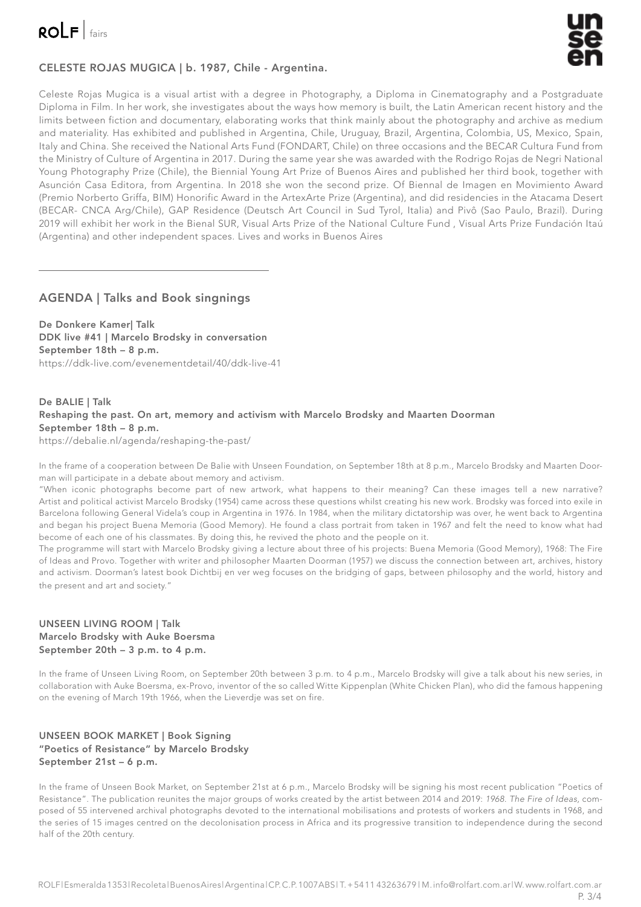



# CELESTE ROJAS MUGICA | b. 1987, Chile - Argentina.

Celeste Rojas Mugica is a visual artist with a degree in Photography, a Diploma in Cinematography and a Postgraduate Diploma in Film. In her work, she investigates about the ways how memory is built, the Latin American recent history and the limits between fiction and documentary, elaborating works that think mainly about the photography and archive as medium and materiality. Has exhibited and published in Argentina, Chile, Uruguay, Brazil, Argentina, Colombia, US, Mexico, Spain, Italy and China. She received the National Arts Fund (FONDART, Chile) on three occasions and the BECAR Cultura Fund from the Ministry of Culture of Argentina in 2017. During the same year she was awarded with the Rodrigo Rojas de Negri National Young Photography Prize (Chile), the Biennial Young Art Prize of Buenos Aires and published her third book, together with Asunción Casa Editora, from Argentina. In 2018 she won the second prize. Of Biennal de Imagen en Movimiento Award (Premio Norberto Griffa, BIM) Honorific Award in the ArtexArte Prize (Argentina), and did residencies in the Atacama Desert (BECAR- CNCA Arg/Chile), GAP Residence (Deutsch Art Council in Sud Tyrol, Italia) and Pivô (Sao Paulo, Brazil). During 2019 will exhibit her work in the Bienal SUR, Visual Arts Prize of the National Culture Fund , Visual Arts Prize Fundación Itaú (Argentina) and other independent spaces. Lives and works in Buenos Aires

## AGENDA | Talks and Book singnings

De Donkere Kamer| Talk DDK live #41 | Marcelo Brodsky in conversation September 18th – 8 p.m. https://ddk-live.com/evenementdetail/40/ddk-live-41

### De BALIE | Talk Reshaping the past. On art, memory and activism with Marcelo Brodsky and Maarten Doorman September 18th – 8 p.m. https://debalie.nl/agenda/reshaping-the-past/

In the frame of a cooperation between De Balie with Unseen Foundation, on September 18th at 8 p.m., Marcelo Brodsky and Maarten Doorman will participate in a debate about memory and activism.

"When iconic photographs become part of new artwork, what happens to their meaning? Can these images tell a new narrative? Artist and political activist Marcelo Brodsky (1954) came across these questions whilst creating his new work. Brodsky was forced into exile in Barcelona following General Videla's coup in Argentina in 1976. In 1984, when the military dictatorship was over, he went back to Argentina and began his project Buena Memoria (Good Memory). He found a class portrait from taken in 1967 and felt the need to know what had become of each one of his classmates. By doing this, he revived the photo and the people on it.

The programme will start with Marcelo Brodsky giving a lecture about three of his projects: Buena Memoria (Good Memory), 1968: The Fire of Ideas and Provo. Together with writer and philosopher Maarten Doorman (1957) we discuss the connection between art, archives, history and activism. Doorman's latest book Dichtbij en ver weg focuses on the bridging of gaps, between philosophy and the world, history and the present and art and society."

## UNSEEN LIVING ROOM | Talk Marcelo Brodsky with Auke Boersma September 20th – 3 p.m. to 4 p.m.

In the frame of Unseen Living Room, on September 20th between 3 p.m. to 4 p.m., Marcelo Brodsky will give a talk about his new series, in collaboration with Auke Boersma, ex-Provo, inventor of the so called Witte Kippenplan (White Chicken Plan), who did the famous happening on the evening of March 19th 1966, when the Lieverdje was set on fire.

## UNSEEN BOOK MARKET | Book Signing "Poetics of Resistance" by Marcelo Brodsky September 21st – 6 p.m.

In the frame of Unseen Book Market, on September 21st at 6 p.m., Marcelo Brodsky will be signing his most recent publication "Poetics of Resistance". The publication reunites the major groups of works created by the artist between 2014 and 2019: 1968. The Fire of Ideas, composed of 55 intervened archival photographs devoted to the international mobilisations and protests of workers and students in 1968, and the series of 15 images centred on the decolonisation process in Africa and its progressive transition to independence during the second half of the 20th century.